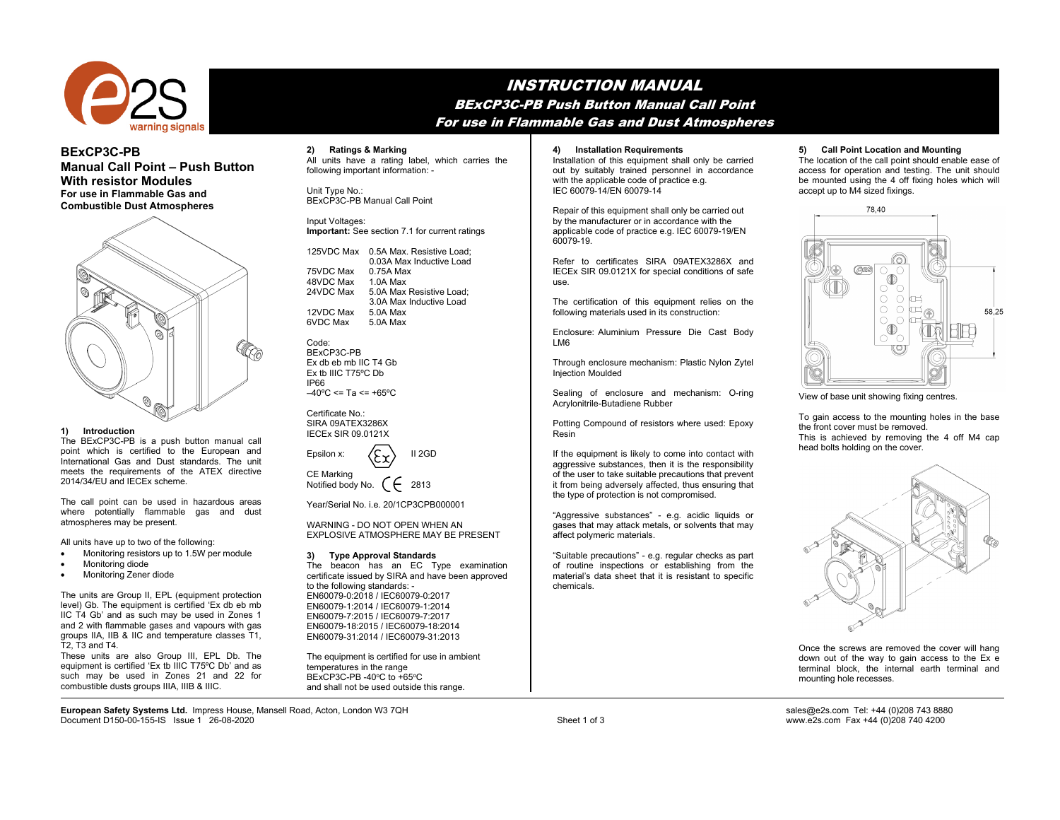

# **BExCP3C-PB Manual Call Point – Push Button With resistor Modules For use in Flammable Gas and Combustible Dust Atmospheres**



## **1) Introduction**

The BExCP3C-PB is a push button manual call point which is certified to the European and International Gas and Dust standards. The unit meets the requirements of the ATEX directive 2014/34/EU and IECEx scheme.

The call point can be used in hazardous areas where potentially flammable gas and dust atmospheres may be present.

All units have up to two of the following:

- Monitoring resistors up to 1.5W per module
- Monitoring diode
- Monitoring Zener diode

The units are Group II, EPL (equipment protection level) Gb. The equipment is certified 'Ex db eb mb IIC T4 Gb' and as such may be used in Zones 1 and 2 with flammable gases and vapours with gas groups IIA, IIB & IIC and temperature classes T1,  $\tilde{T}2$ .  $\tilde{T}3$  and T4.

These units are also Group III, EPL Db. The equipment is certified 'Ex tb IIIC T75ºC Db' and as such may be used in Zones 21 and 22 for combustible dusts groups IIIA, IIIB & IIIC.

INSTRUCTION MANUAL BExCP3C-PB Push Button Manual Call Point For use in Flammable Gas and Dust Atmospheres

**2) Ratings & Marking**  All units have a rating label, which carries the following important information: -

Unit Type No.: BExCP3C-PB Manual Call Point

Input Voltages: **Important:** See section 7.1 for current ratings

| 125VDC Max | 0.5A Max. Resistive Load;<br>0.03A Max Inductive Load |
|------------|-------------------------------------------------------|
| 75VDC Max  | 0.75A Max                                             |
|            |                                                       |
| 48VDC Max  | 1.0A Max                                              |
| 24VDC Max  | 5.0A Max Resistive Load;                              |
|            | 3.0A Max Inductive Load                               |
| 12VDC Max  | 5.0A Max                                              |
| 6VDC Max   | 5.0A Max                                              |
|            |                                                       |

Code: BExCP3C-PB Ex db eb mb IIC T4 Gb Ex tb IIIC T75ºC Db IP66  $-40^{\circ}$ C <= Ta <= +65°C

Certificate No.: SIRA 09ATEX3286X IECEx SIR 09.0121X

| Epsilon x:                             | $\langle \xi \chi \rangle$ | II 2GD |
|----------------------------------------|----------------------------|--------|
| <b>CE Marking</b><br>Notified body No. |                            | 2813   |

Year/Serial No. i.e. 20/1CP3CPB000001

WARNING - DO NOT OPEN WHEN AN EXPLOSIVE ATMOSPHERE MAY BE PRESENT

## **3) Type Approval Standards**

The beacon has an EC Type examination certificate issued by SIRA and have been approved to the following standards: - EN60079-0:2018 / IEC60079-0:2017 EN60079-1:2014 / IEC60079-1:2014 EN60079-7:2015 / IEC60079-7:2017 EN60079-18:2015 / IEC60079-18:2014 EN60079-31:2014 / IEC60079-31:2013

The equipment is certified for use in ambient temperatures in the range BExCP3C-PB -40°C to +65°C and shall not be used outside this range.

#### **4) Installation Requirements**

Installation of this equipment shall only be carried out by suitably trained personnel in accordance with the applicable code of practice e.g. IEC 60079-14/EN 60079-14

Repair of this equipment shall only be carried out by the manufacturer or in accordance with the applicable code of practice e.g. IEC 60079-19/EN 60079-19.

Refer to certificates SIRA 09ATEX3286X and IECEx SIR 09.0121X for special conditions of safe use.

The certification of this equipment relies on the following materials used in its construction:

Enclosure: Aluminium Pressure Die Cast Body LM6

Through enclosure mechanism: Plastic Nylon Zytel Injection Moulded

Sealing of enclosure and mechanism: O-ring Acrylonitrile-Butadiene Rubber

Potting Compound of resistors where used: Epoxy Resin

If the equipment is likely to come into contact with aggressive substances, then it is the responsibility of the user to take suitable precautions that prevent it from being adversely affected, thus ensuring that the type of protection is not compromised.

"Aggressive substances" - e.g. acidic liquids or gases that may attack metals, or solvents that may affect polymeric materials.

"Suitable precautions" - e.g. regular checks as part of routine inspections or establishing from the material's data sheet that it is resistant to specific chemicals.

#### **5) Call Point Location and Mounting**

The location of the call point should enable ease of access for operation and testing. The unit should be mounted using the 4 off fixing holes which will accept up to M4 sized fixings.



View of base unit showing fixing centres.

To gain access to the mounting holes in the base the front cover must be removed. This is achieved by removing the 4 off M4 cap head bolts holding on the cover.



Once the screws are removed the cover will hang down out of the way to gain access to the Ex e terminal block, the internal earth terminal and mounting hole recesses.

**European Safety Systems Ltd.** Impress House, Mansell Road, Acton, London W3 7QH sales@e2s.com Tel: +44 (0)208 743 8880<br>Document D150-00-155-IS Issue 1 26-08-2020 Document D150-00-155-IS Issue 1 26-08-2020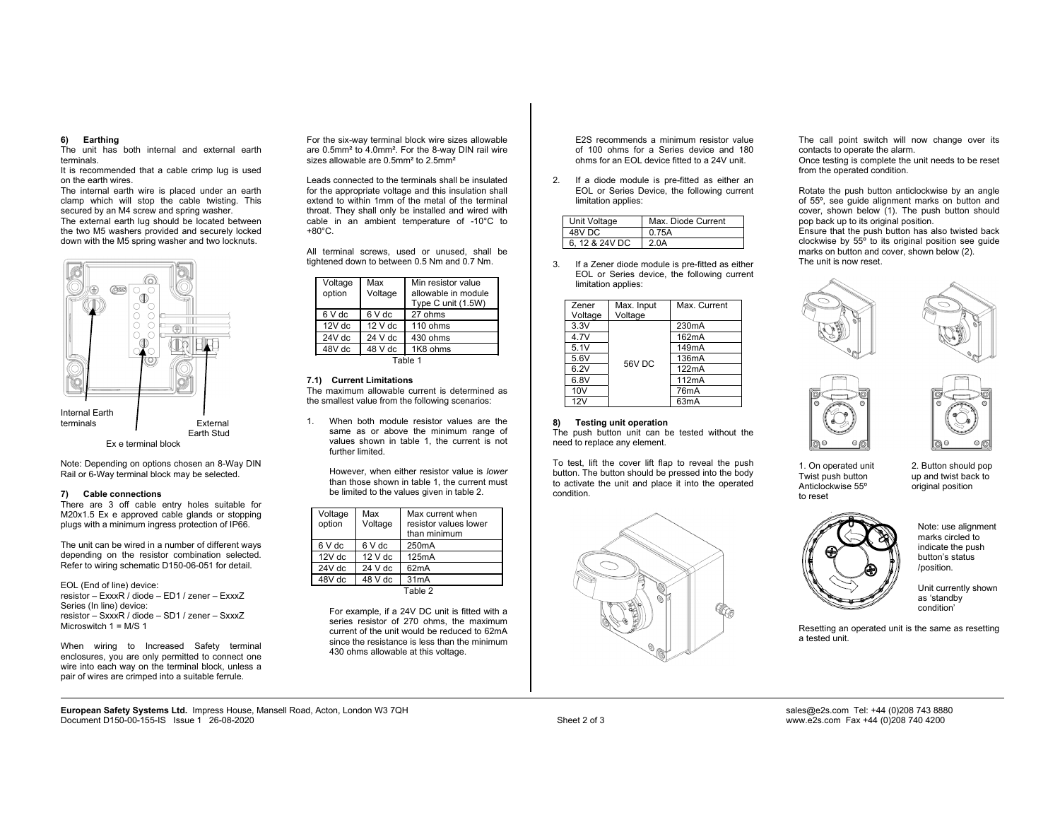# **6) Earthing**

The unit has both internal and external earth terminals.

 It is recommended that a cable crimp lug is used on the earth wires.

 The internal earth wire is placed under an earth clamp which will stop the cable twisting. This secured by an M4 screw and spring washer. The external earth lug should be located between the two M5 washers provided and securely locked down with the M5 spring washer and two locknuts.



Note: Depending on options chosen an 8-Way DIN Rail or 6-Way terminal block may be selected.

#### **7) Cable connections**

There are 3 off cable entry holes suitable for M20x1.5 Ex e approved cable glands or stopping plugs with a minimum ingress protection of IP66.

The unit can be wired in a number of different ways depending on the resistor combination selected. Refer to wiring schematic D150-06-051 for detail.

EOL (End of line) device: resistor – ExxxR / diode – ED1 / zener – ExxxZ Series (In line) device: resistor – SxxxR / diode – SD1 / zener – SxxxZ Microswitch  $1 = M/S$  1

When wiring to Increased Safety terminal enclosures, you are only permitted to connect one wire into each way on the terminal block, unless a pair of wires are crimped into a suitable ferrule.

For the six-way terminal block wire sizes allowable are 0.5mm² to 4.0mm². For the 8-way DIN rail wire sizes allowable are 0.5mm<sup>2</sup> to 2.5mm<sup>2</sup>

Leads connected to the terminals shall be insulated for the appropriate voltage and this insulation shall extend to within 1mm of the metal of the terminal throat. They shall only be installed and wired with cable in an ambient temperature of -10°C to +80°C.

All terminal screws, used or unused, shall be tightened down to between 0.5 Nm and 0.7 Nm.

| Voltage<br>option | Max<br>Voltage | Min resistor value<br>allowable in module<br>Type C unit (1.5W) |
|-------------------|----------------|-----------------------------------------------------------------|
| 6 V dc            | 6 V dc         | 27 ohms                                                         |
| $12V$ dc          | $12V$ dc       | 110 ohms                                                        |
| 24V dc            | $24V$ dc       | 430 ohms                                                        |
| 48V dc            | 48 V dc        | 1K8 ohms                                                        |
|                   |                |                                                                 |

Table 1

## **7.1) Current Limitations**

The maximum allowable current is determined as the smallest value from the following scenarios:

1. When both module resistor values are the same as or above the minimum range of values shown in table 1, the current is not further limited.

However, when either resistor value is *lower* than those shown in table 1, the current must be limited to the values given in table 2.

| Voltage<br>option | Max<br>Voltage | Max current when<br>resistor values lower<br>than minimum |
|-------------------|----------------|-----------------------------------------------------------|
| 6 V dc            | 6 V dc         | 250 <sub>m</sub> A                                        |
| $12V$ dc          | $12V$ dc       | 125mA                                                     |
| $24V$ dc          | $24V$ dc       | 62mA                                                      |
| 48V dc            | 48 V dc        | 31 <sub>m</sub> A                                         |
|                   |                | Table 2                                                   |

For example, if a 24V DC unit is fitted with a series resistor of 270 ohms, the maximum current of the unit would be reduced to 62mA since the resistance is less than the minimum 430 ohms allowable at this voltage.

E2S recommends a minimum resistor value of 100 ohms for a Series device and 180 ohms for an EOL device fitted to a 24V unit.

If a diode module is pre-fitted as either an EOL or Series Device, the following current limitation applies:

| Jnit Voltage  | Max. Diode Current |
|---------------|--------------------|
| 48V DC.       |                    |
| 6.12 & 24V DC |                    |

3. If a Zener diode module is pre-fitted as either EOL or Series device, the following current limitation applies:

| Zener           | Max. Input | Max. Current       |
|-----------------|------------|--------------------|
| Voltage         | Voltage    |                    |
| 3.3V            |            | 230 <sub>m</sub> A |
| 4.7V            |            | 162mA              |
| 5.1V            | 56V DC     | 149mA              |
| 5.6V            |            | 136mA              |
| 6.2V            |            | 122mA              |
| 6.8V            |            | 112mA              |
| 10 <sub>V</sub> |            | 76mA               |
| 12V             |            | 63mA               |

#### **8) Testing unit operation**

The push button unit can be tested without the need to replace any element.

To test, lift the cover lift flap to reveal the push button. The button should be pressed into the body to activate the unit and place it into the operated condition.



The call point switch will now change over its contacts to operate the alarm.

Once testing is complete the unit needs to be reset from the operated condition.

Rotate the push button anticlockwise by an angle of 55º, see guide alignment marks on button and cover, shown below (1). The push button should pop back up to its original position. Ensure that the push button has also twisted back clockwise by  $55^{\circ}$  to its original position see guide marks on button and cover, shown below (2). The unit is now reset.









1. On operated unit 2. Button should pop<br>Twist push button up and twist back to Anticlockwise 55° to reset

up and twist back to<br>original position

Note: use alignment marks circled to indicate the push button's status /position.

Unit currently shown as 'standby condition'

Resetting an operated unit is the same as resetting a tested unit.

**European Safety Systems Ltd.** Impress House, Mansell Road, Acton, London W3 7QH sales@e2s.com Tel: +44 (0)208 743 8880<br>Document D150-00-155-IS Issue 1 26-08-2020 Document D150-00-155-IS Issue 1 26-08-2020